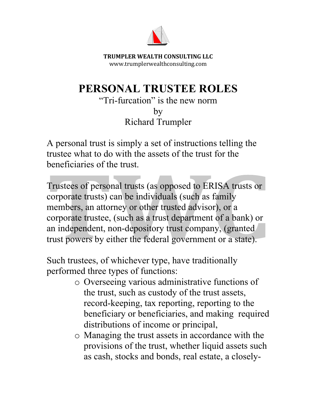

**TRUMPLER WEALTH CONSULTING LLC** www.trumplerwealthconsulting.com

## **PERSONAL TRUSTEE ROLES**

"Tri-furcation" is the new norm by Richard Trumpler

A personal trust is simply a set of instructions telling the trustee what to do with the assets of the trust for the beneficiaries of the trust.

Trustees of personal trusts (as opposed to ERISA trusts or corporate trusts) can be individuals (such as family members, an attorney or other trusted advisor), or a corporate trustee, (such as a trust department of a bank) or an independent, non-depository trust company, (granted trust powers by either the federal government or a state).

Such trustees, of whichever type, have traditionally performed three types of functions:

- o Overseeing various administrative functions of the trust, such as custody of the trust assets, record-keeping, tax reporting, reporting to the beneficiary or beneficiaries, and making required distributions of income or principal,
- o Managing the trust assets in accordance with the provisions of the trust, whether liquid assets such as cash, stocks and bonds, real estate, a closely-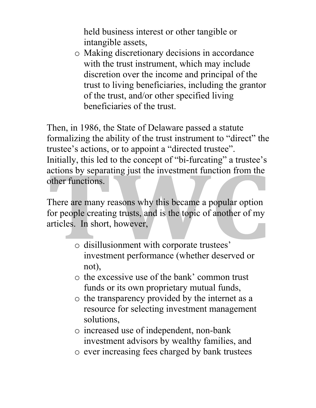held business interest or other tangible or intangible assets,

o Making discretionary decisions in accordance with the trust instrument, which may include discretion over the income and principal of the trust to living beneficiaries, including the grantor of the trust, and/or other specified living beneficiaries of the trust.

Then, in 1986, the State of Delaware passed a statute formalizing the ability of the trust instrument to "direct" the trustee's actions, or to appoint a "directed trustee". Initially, this led to the concept of "bi-furcating" a trustee's actions by separating just the investment function from the other functions.

There are many reasons why this became a popular option for people creating trusts, and is the topic of another of my articles. In short, however,

- o disillusionment with corporate trustees' investment performance (whether deserved or not),
- o the excessive use of the bank' common trust funds or its own proprietary mutual funds,
- o the transparency provided by the internet as a resource for selecting investment management solutions,
- o increased use of independent, non-bank investment advisors by wealthy families, and
- o ever increasing fees charged by bank trustees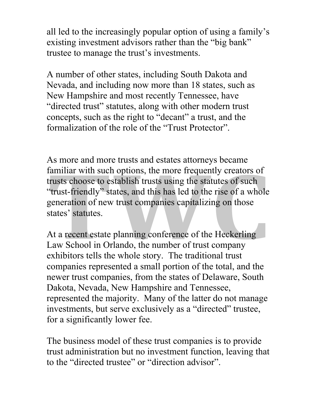all led to the increasingly popular option of using a family's existing investment advisors rather than the "big bank" trustee to manage the trust's investments.

A number of other states, including South Dakota and Nevada, and including now more than 18 states, such as New Hampshire and most recently Tennessee, have "directed trust" statutes, along with other modern trust concepts, such as the right to "decant" a trust, and the formalization of the role of the "Trust Protector".

As more and more trusts and estates attorneys became familiar with such options, the more frequently creators of trusts choose to establish trusts using the statutes of such "trust-friendly" states, and this has led to the rise of a whole generation of new trust companies capitalizing on those states' statutes.

At a recent estate planning conference of the Heckerling Law School in Orlando, the number of trust company exhibitors tells the whole story. The traditional trust companies represented a small portion of the total, and the newer trust companies, from the states of Delaware, South Dakota, Nevada, New Hampshire and Tennessee, represented the majority. Many of the latter do not manage investments, but serve exclusively as a "directed" trustee, for a significantly lower fee.

The business model of these trust companies is to provide trust administration but no investment function, leaving that to the "directed trustee" or "direction advisor".